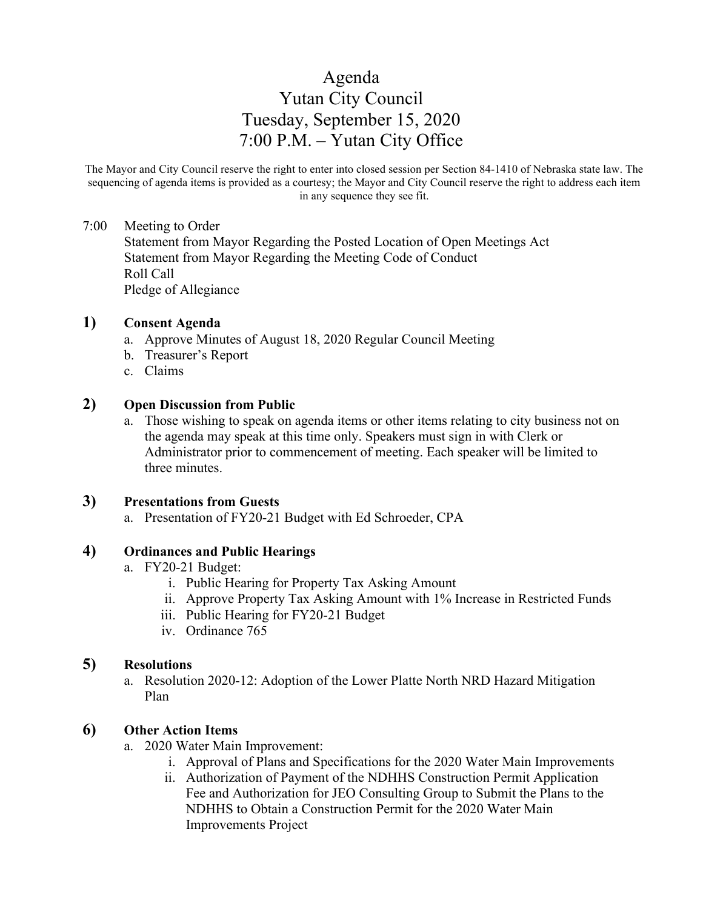# Agenda Yutan City Council Tuesday, September 15, 2020 7:00 P.M. – Yutan City Office

The Mayor and City Council reserve the right to enter into closed session per Section 84-1410 of Nebraska state law. The sequencing of agenda items is provided as a courtesy; the Mayor and City Council reserve the right to address each item in any sequence they see fit.

#### 7:00 Meeting to Order

Statement from Mayor Regarding the Posted Location of Open Meetings Act Statement from Mayor Regarding the Meeting Code of Conduct Roll Call Pledge of Allegiance

## **1) Consent Agenda**

- a. Approve Minutes of August 18, 2020 Regular Council Meeting
- b. Treasurer's Report
- c. Claims

#### **2) Open Discussion from Public**

a. Those wishing to speak on agenda items or other items relating to city business not on the agenda may speak at this time only. Speakers must sign in with Clerk or Administrator prior to commencement of meeting. Each speaker will be limited to three minutes.

#### **3) Presentations from Guests**

a. Presentation of FY20-21 Budget with Ed Schroeder, CPA

#### **4) Ordinances and Public Hearings**

- a. FY20-21 Budget:
	- i. Public Hearing for Property Tax Asking Amount
	- ii. Approve Property Tax Asking Amount with 1% Increase in Restricted Funds
	- iii. Public Hearing for FY20-21 Budget
	- iv. Ordinance 765

## **5) Resolutions**

a. Resolution 2020-12: Adoption of the Lower Platte North NRD Hazard Mitigation Plan

#### **6) Other Action Items**

- a. 2020 Water Main Improvement:
	- i. Approval of Plans and Specifications for the 2020 Water Main Improvements
	- ii. Authorization of Payment of the NDHHS Construction Permit Application Fee and Authorization for JEO Consulting Group to Submit the Plans to the NDHHS to Obtain a Construction Permit for the 2020 Water Main Improvements Project